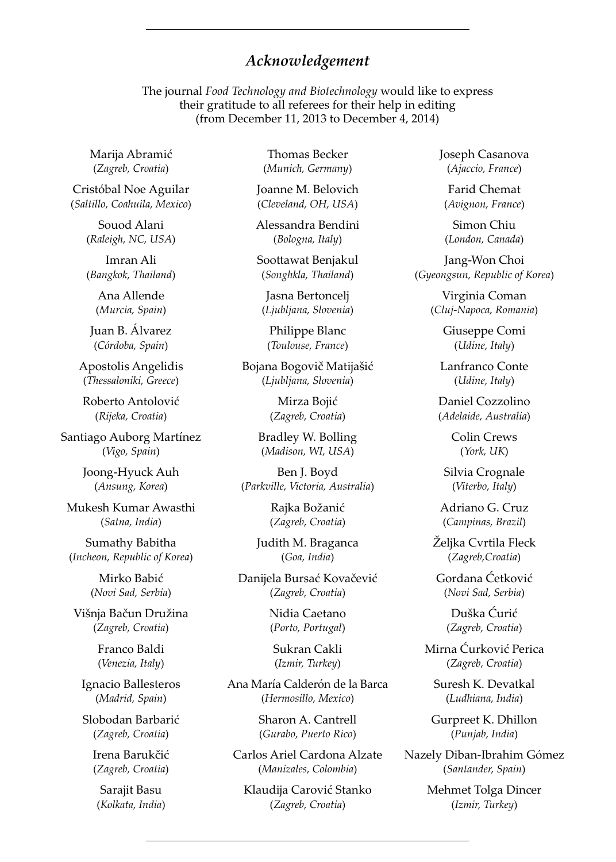## *Acknowledgement*

The journal *Food Technology and Biotechnology* would like to express their gratitude to all referees for their help in editing (from December 11, 2013 to December 4, 2014)

Marija Abramić (*Zagreb, Croatia*)

Cristóbal Noe Aguilar (*Saltillo, Coahuila, Mexico*)

> Souod Alani (*Raleigh, NC, USA*)

> Imran Ali (*Bangkok, Thailand*)

Ana Allende (*Murcia, Spain*)

Juan B. Álvarez (*Córdoba, Spain*)

Apostolis Angelidis (*Thessaloniki, Greece*)

Roberto Antolović (*Rij eka, Croatia*)

Santiago Auborg Martínez (*Vigo, Spain*)

> Joong-Hyuck Auh (*Ansung, Korea*)

Mukesh Kumar Awasthi (*Satna, India*)

Sumathy Babitha (*Incheon, Republic of Korea*)

> Mirko Babić (*Novi Sad, Serbia*)

Višnja Bačun Družina (*Zagreb, Croatia*)

> Franco Baldi (*Venezia, Italy*)

Ignacio Ballesteros (*Madrid, Spain*)

Slobodan Barbarić (*Zagreb, Croatia*)

Irena Barukčić (*Zagreb, Croatia*)

Sarajit Basu (*Kolkata, India*)

Thomas Becker (*Munich, Germany*)

Joanne M. Belovich (*Cleveland, OH, USA*)

Alessandra Bendini (*Bologna, Italy*)

Soottawat Benjakul (*Songhkla, Thailand*)

Jasna Bertoncelj (*Ljubljana, Slovenia*)

Philippe Blanc (*Toulouse, France*)

Bojana Bogovič Matijašić (*Ljubljana, Slovenia*)

> Mirza Bojić (*Zagreb, Croatia*)

Bradley W. Bolling (*Madison, WI, USA*)

Ben J. Boyd (*Parkville, Victoria, Australia*)

> Rajka Božanić (*Zagreb, Croatia*)

Judith M. Braganca (*Goa, India*)

Danijela Bursać Kovačević (*Zagreb, Croatia*)

> Nidia Caetano (*Porto, Portugal*)

Sukran Cakli (*Izmir, Turkey*)

Ana María Calderón de la Barca (*Hermosillo, Mexico*)

> Sharon A. Cantrell (*Gurabo, Puerto Rico*)

Carlos Ariel Cardona Alzate (*Manizales, Colombia*)

Klaudija Carović Stanko (*Zagreb, Croatia*)

Joseph Casanova (*Ajaccio, France*)

Farid Chemat (*Avignon, France*)

Simon Chiu (*London, Canada*)

Jang-Won Choi (*Gyeongsun, Republic of Korea*)

> Virginia Coman (*Cluj-Napoca, Romania*)

> > Giuseppe Comi (*Udine, Italy*)

Lanfranco Conte (*Udine, Italy*)

Daniel Cozzolino (*Adelaide, Australia*)

> Colin Crews (*York, UK*)

Silvia Crognale (*Viterbo, Italy*)

Adriano G. Cruz (*Campinas, Brazil*)

Željka Cvrtila Fleck (*Zagreb,Croatia*)

Gordana Ćetković (*Novi Sad, Serbia*)

> Duška Ćurić (*Zagreb, Croatia*)

Mirna Ćurković Perica (*Zagreb, Croatia*)

Suresh K. Devatkal (*Ludhiana, India*)

Gurpreet K. Dhillon (*Punjab, India*)

Nazely Diban-Ibrahim Gómez (*Santander, Spain*)

> Mehmet Tolga Dincer (*Izmir, Turkey*)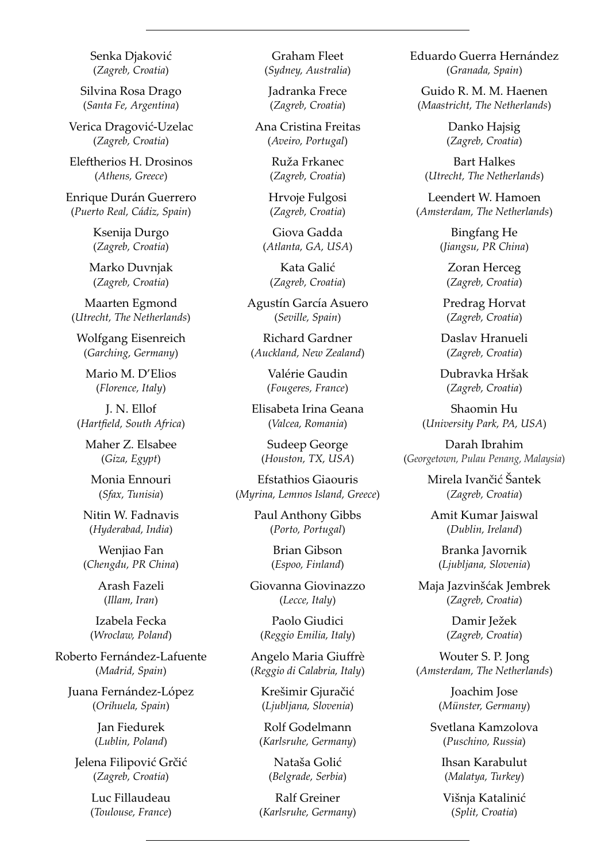Senka Djaković (*Zagreb, Croatia*)

Silvina Rosa Drago (*Santa Fe, Argentina*)

Verica Dragović-Uzelac (*Zagreb, Croatia*)

Eleftherios H. Drosinos (*Athens, Greece*)

Enrique Durán Guerrero (*Puerto Real, Cádiz, Spain*)

> Ksenija Durgo (*Zagreb, Croatia*)

Marko Duvnjak (*Zagreb, Croatia*)

Maarten Egmond (*Utrecht, The Netherlands*)

Wolfgang Eisenreich (*Garching, Germany*)

Mario M. D'Elios (*Florence, Italy*)

J. N. Ellof (Hartfield, South Africa)

Maher Z. Elsabee (*Giza, Egypt*)

Monia Ennouri (*Sfax, Tunisia*)

Nitin W. Fadnavis (*Hyderabad, India*)

Wenjiao Fan (*Chengdu, PR China*)

> Arash Fazeli (*Illam, Iran*)

Izabela Fecka (*Wroclaw, Poland*)

Roberto Fernández-Lafuente (*Madrid, Spain*)

Juana Fernández-López (*Orihuela, Spain*)

> Jan Fiedurek (*Lublin, Poland*)

Jelena Filipović Grčić (*Zagreb, Croatia*)

> Luc Fillaudeau (*Toulouse, France*)

Graham Fleet (*Sydney, Australia*)

Jadranka Frece (*Zagreb, Croatia*)

Ana Cristina Freitas (*Aveiro, Portugal*)

> Ruža Frkanec (*Zagreb, Croatia*)

Hrvoje Fulgosi (*Zagreb, Croatia*)

Giova Gadda (*Atlanta, GA, USA*)

Kata Galić (*Zagreb, Croatia*)

Agustín García Asuero (*Seville, Spain*)

Richard Gardner (*Auckland, New Zealand*)

> Valérie Gaudin (*Fougeres, France*)

Elisabeta Irina Geana (*Valcea, Romania*)

Sudeep George (*Houston, TX, USA*)

Efstathios Giaouris (*Myrina, Lemnos Island, Greece*)

> Paul Anthony Gibbs (*Porto, Portugal*)

> > Brian Gibson (*Espoo, Finland*)

Giovanna Giovinazzo (*Lecce, Italy*)

Paolo Giudici (*Reggio Emilia, Italy*)

Angelo Maria Giuffrè (*Reggio di Calabria, Italy*)

Krešimir Gjuračić (*Ljubljana, Slovenia*)

Rolf Godelmann (*Karlsruhe, Germany*)

> Nataša Golić (*Belgrade, Serbia*)

Ralf Greiner (*Karlsruhe, Germany*) Eduardo Guerra Hernández (*Granada, Spain*)

Guido R. M. M. Haenen (*Maastricht, The Netherlands*)

> Danko Hajsig (*Zagreb, Croatia*)

Bart Halkes (*Utrecht, The Netherlands*)

Leendert W. Hamoen (*Amsterdam, The Netherlands*)

> Bingfang He (*Jiangsu, PR China*)

Zoran Herceg (*Zagreb, Croatia*)

Predrag Horvat (*Zagreb, Croatia*)

Daslav Hranueli (*Zagreb, Croatia*)

Dubravka Hršak (*Zagreb, Croatia*)

Shaomin Hu (*University Park, PA, USA*)

Darah Ibrahim (*Georgetown, Pulau Penang, Malaysia*)

> Mirela Ivančić Šantek (*Zagreb, Croatia*)

Amit Kumar Jaiswal (*Dublin, Ireland*)

Branka Javornik (*Ljubljana, Slovenia*)

Maja Jazvinšćak Jembrek (*Zagreb, Croatia*)

> Damir Ježek (*Zagreb, Croatia*)

Wouter S. P. Jong (*Amsterdam, The Netherlands*)

> Joachim Jose (*Münster, Germany*)

Svetlana Kamzolova (*Puschino, Russia*)

> Ihsan Karabulut (*Malatya, Turkey*)

Višnja Katalinić (*Split, Croatia*)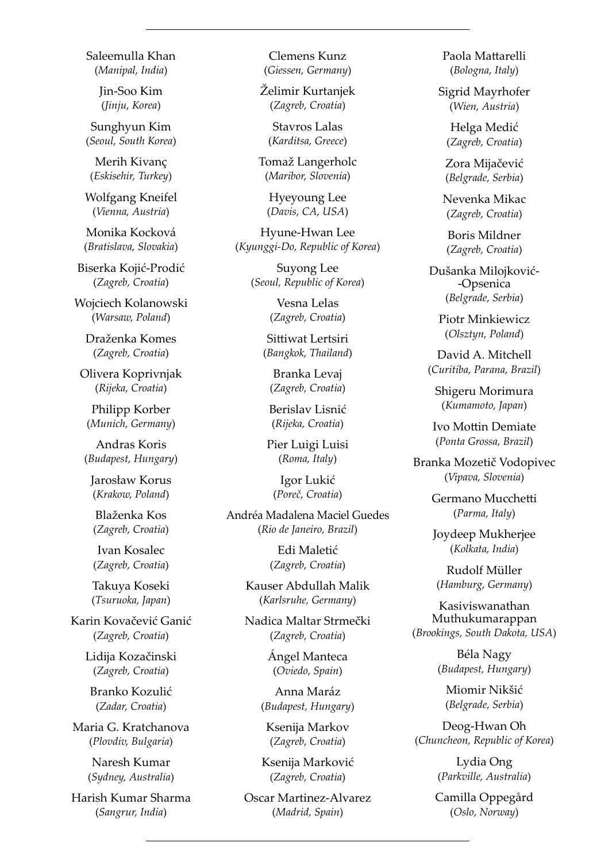Saleemulla Khan (*Manipal, India*)

> Jin-Soo Kim (*Jinju, Korea*)

Sunghyun Kim (*Seoul, South Korea*)

Merih Kivanç (*Eskisehir, Turkey*)

Wolfgang Kneifel (*Vienna, Austria*)

Monika Kocková (*Bratislava, Slovakia*)

Biserka Kojić-Prodić (*Zagreb, Croatia*)

Wojciech Kolanowski (*Warsaw, Poland*)

Draženka Komes (*Zagreb, Croatia*)

Olivera Koprivnjak (*Rij eka, Croatia*)

Philipp Korber (*Munich, Germany*)

Andras Koris (*Budapest, Hungary*)

Jarosław Korus (*Krakow, Poland*)

Blaženka Kos (*Zagreb, Croatia*)

Ivan Kosalec (*Zagreb, Croatia*)

Takuya Koseki (*Tsuruoka, Japan*)

Karin Kovačević Ganić (*Zagreb, Croatia*)

> Lidija Kozačinski (*Zagreb, Croatia*)

Branko Kozulić (*Zadar, Croatia*)

Maria G. Kratchanova (*Plovdiv, Bulgaria*)

> Naresh Kumar (*Sydney, Australia*)

Harish Kumar Sharma (*Sangrur, India*)

Clemens Kunz (*Giessen, Germany*)

Želimir Kurtanjek (*Zagreb, Croatia*)

Stavros Lalas (*Karditsa, Greece*)

Tomaž Langerholc (*Maribor, Slovenia*)

Hyeyoung Lee (*Davis, CA, USA*)

Hyune-Hwan Lee (*Kyunggi-Do, Republic of Korea*)

> Suyong Lee (*Seoul, Republic of Korea*)

> > Vesna Lelas (*Zagreb, Croatia*)

Sittiwat Lertsiri (*Bangkok, Thailand*)

Branka Levaj (*Zagreb, Croatia*)

Berislav Lisnić (*Rij eka, Croatia*)

Pier Luigi Luisi (*Roma, Italy*)

Igor Lukić (*Poreč, Croatia*)

Andréa Madalena Maciel Guedes (*Rio de Janeiro, Brazil*)

> Edi Maletić (*Zagreb, Croatia*)

Kauser Abdullah Malik (*Karlsruhe, Germany*)

Nadica Maltar Strmečki (*Zagreb, Croatia*)

> Ángel Manteca (*Oviedo, Spain*)

Anna Maráz (*Budapest, Hungary*)

Ksenija Markov (*Zagreb, Croatia*)

Ksenija Marković (*Zagreb, Croatia*)

Oscar Martinez-Alvarez (*Madrid, Spain*)

Paola Mattarelli (*Bologna, Italy*)

Sigrid Mayrhofer (*Wien, Austria*)

Helga Medić (*Zagreb, Croatia*)

Zora Mijačević (*Belgrade, Serbia*)

Nevenka Mikac (*Zagreb, Croatia*)

Boris Mildner (*Zagreb, Croatia*)

Dušanka Milojković- -Opsenica (*Belgrade, Serbia*)

Piotr Minkiewicz (*Olsztyn, Poland*)

David A. Mitchell (*Curitiba, Parana, Brazil*)

Shigeru Morimura (*Kumamoto, Japan*)

Ivo Mottin Demiate (*Ponta Grossa, Brazil*)

Branka Mozetič Vodopivec (*Vipava, Slovenia*)

> Germano Mucchetti (*Parma, Italy*)

Joydeep Mukherjee (*Kolkata, India*)

Rudolf Müller (*Hamburg, Germany*)

Kasiviswanathan Muthukumarappan (*Brookings, South Dakota, USA*)

> Béla Nagy (*Budapest, Hungary*)

Miomir Nikšić (*Belgrade, Serbia*)

Deog-Hwan Oh (*Chuncheon, Republic of Korea*)

> Lydia Ong (*Parkville, Australia*)

Camilla Oppegård (*Oslo, Norway*)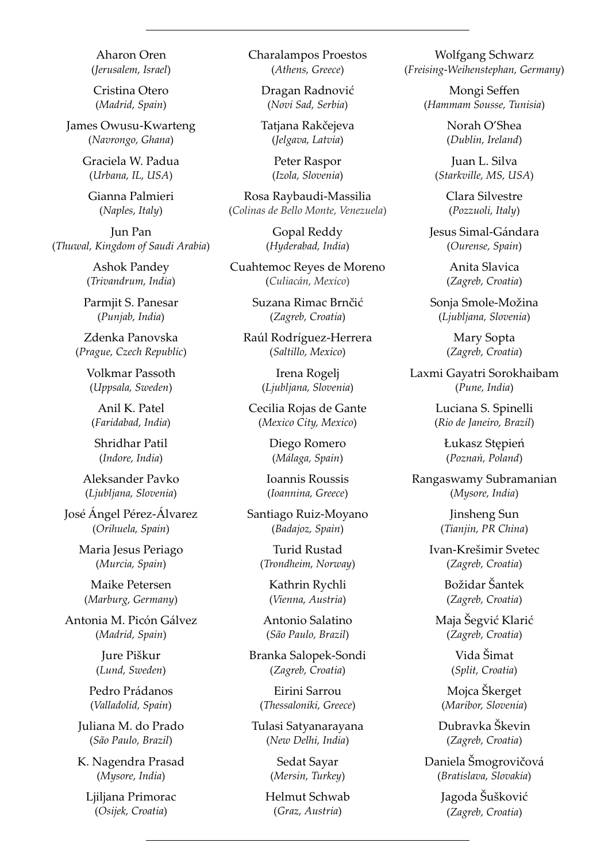Aharon Oren (*Jerusalem, Israel*)

Cristina Otero (*Madrid, Spain*)

James Owusu-Kwarteng (*Navrongo, Ghana*)

> Graciela W. Padua (*Urbana, IL, USA*)

Gianna Palmieri (*Naples, Italy*)

Jun Pan (*Thuwal, Kingdom of Saudi Arabia*)

> Ashok Pandey (*Trivandrum, India*)

Parmjit S. Panesar (*Punjab, India*)

Zdenka Panovska (*Prague, Czech Republic*)

Volkmar Passoth (*Uppsala, Sweden*)

Anil K. Patel (*Faridabad, India*)

Shridhar Patil (*Indore, India*)

Aleksander Pavko (*Ljubljana, Slovenia*)

José Ángel Pérez-Álvarez (*Orihuela, Spain*)

> Maria Jesus Periago (*Murcia, Spain*)

Maike Petersen (*Marburg, Germany*)

Antonia M. Picón Gálvez (*Madrid, Spain*)

> Jure Piškur (*Lund, Sweden*)

Pedro Prádanos (*Valladolid, Spain*)

Juliana M. do Prado (*São Paulo, Brazil*)

K. Nagendra Prasad (*Mysore, India*)

Ljiljana Primorac (*Osij ek, Croatia*)

Charalampos Proestos (*Athens, Greece*)

Dragan Radnović (*Novi Sad, Serbia*)

Tatjana Rakčejeva (*Jelgava, Latvia*)

> Peter Raspor (*Izola, Slovenia*)

Rosa Raybaudi-Massilia (*Colinas de Bello Monte, Venezuela*)

> Gopal Reddy (*Hyderabad, India*)

Cuahtemoc Reyes de Moreno (*Culiacán, Mexico*)

> Suzana Rimac Brnčić (*Zagreb, Croatia*)

Raúl Rodríguez-Herrera (*Saltillo, Mexico*)

> Irena Rogelj (*Ljubljana, Slovenia*)

Cecilia Rojas de Gante (*Mexico City, Mexico*)

> Diego Romero (*Málaga, Spain*)

Ioannis Roussis (*Ioannina, Greece*)

Santiago Ruiz-Moyano (*Badajoz, Spain*)

> Turid Rustad (*Trondheim, Norway*)

Kathrin Rychli (*Vienna, Austria*)

Antonio Salatino (*São Paulo, Brazil*)

Branka Salopek-Sondi (*Zagreb, Croatia*)

Eirini Sarrou (*Thessaloniki, Greece*)

Tulasi Satyanarayana (*New Delhi, India*)

> Sedat Sayar (*Mersin, Turkey*)

Helmut Schwab (*Graz, Austria*)

Wolfgang Schwarz (*Freising*-*Weihenstephan, Germany*)

> Mongi Seffen (*Hammam Sousse, Tunisia*)

> > Norah O'Shea (*Dublin, Ireland*)

Juan L. Silva (*Starkville, MS, USA*)

> Clara Silvestre (*Pozzuoli, Italy*)

Jesus Simal-Gándara (*Ourense, Spain*)

> Anita Slavica (*Zagreb, Croatia*)

Sonja Smole-Možina (*Ljubljana, Slovenia*)

> Mary Sopta (*Zagreb, Croatia*)

Laxmi Gayatri Sorokhaibam (*Pune, India*)

> Luciana S. Spinelli (*Rio de Janeiro, Brazil*)

> > Łukasz Stępień (*Poznań, Poland*)

Rangaswamy Subramanian (*Mysore, India*)

> Jinsheng Sun (*Tianjin, PR China*)

Ivan-Krešimir Svetec (*Zagreb, Croatia*)

> Božidar Šantek (*Zagreb, Croatia*)

Maja Šegvić Klarić (*Zagreb, Croatia*)

> Vida Šimat (*Split, Croatia*)

Mojca Škerget (*Maribor, Slovenia*)

Dubravka Škevin (*Zagreb, Croatia*)

Daniela Šmogrovičová (*Bratislava, Slovakia*)

> Jagoda Šušković (*Zagreb, Croatia*)